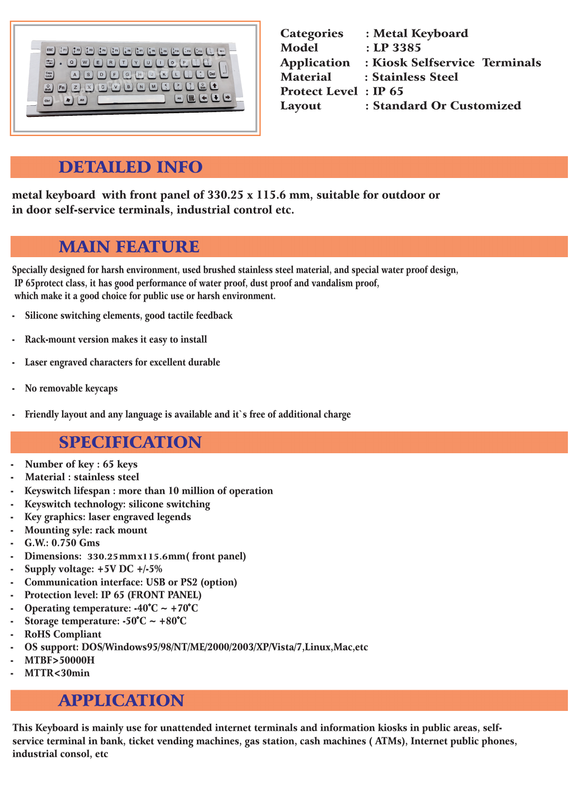## DETAILED INFO

| <b>Categories</b>            | : Metal Keyboard              |
|------------------------------|-------------------------------|
| <b>Model</b>                 | $:$ LP 3385                   |
| <b>Application</b>           | : Kiosk Selfservice Terminals |
| <b>Material</b>              | : Stainless Steel             |
| <b>Protect Level : IP 65</b> |                               |
| <b>Layout</b>                | : Standard Or Customized      |

## MAIN FEATURE

## SPECIFICATION

- Number of key : 65 keys
- Material : stainless steel
- Keyswitch lifespan : more than 10 million of operation
- Keyswitch technology: silicone switching
- Key graphics: laser engraved legends
- Mounting syle: rack mount
- G.W.: 0.750 Gms
- Dimensions: 330.25 mm x 115.6mm (front panel)
- Supply voltage:  $+5V$  DC  $+/-5\%$
- Communication interface: USB or PS2 (option)
- Protection level: IP 65 (FRONT PANEL) Operating temperature:  $-40^{\circ}C \sim +70^{\circ}C$
- Storage temperature:  $-50^{\circ}$ C ~  $+80^{\circ}$ C
- RoHS Compliant
- OS support: DOS/Windows95/98/NT/ME/2000/2003/XP/Vista/7,Linux,Mac,etc **MTBF>50000H**
- MTTR<30min

Specially designed for harsh environment, used brushed stainless steel material, and special water proof design, IP 65protect class, it has good performance of water proof, dust proof and vandalism proof, which make it a good choice for public use or harsh environment.

- Silicone switching elements, good tactile feedback
- Rack-mount version makes it easy to install
- Laser engraved characters for excellent durable
- No removable keycaps
- Friendly layout and any language is available and it's free of additional charge

## APPLICATION

This Keyboard is mainly use for unattended internet terminals and information kiosks in public areas, selfservice terminal in bank, ticket vending machines, gas station, cash machines ( ATMs), Internet public phones, industrial consol, etc

metal keyboard with front panel of 330.25 x 115.6 mm, suitable for outdoor or in door self-service terminals, industrial control etc.

| $\binom{9}{2}$ F <sub>2</sub><br>$\binom{*}{3}$ F3<br>$\binom{8}{4}$ F4<br>$\binom{8}{5}$ F5<br>$\frac{1}{1}$ F1<br>$\left[\begin{matrix} 2 \\ 6 \end{matrix}\right]$<br>$\binom{*}{8}$ F <sub>8</sub><br><b>ESC</b><br>$\binom{8}{7}$ F7<br>$\left(\begin{matrix} 1 \\ 9 \end{matrix}\right)$ F9<br>$\begin{pmatrix} 1 \\ 0 \end{pmatrix}$<br>$\frac{1}{2}$ F12<br>$- F11$<br>$\overline{\phantom{0}}$<br>$\frac{1}{2}$<br>W<br>Е<br>$\mathsf{R}$<br>т<br>Q<br>Y<br>U<br>O<br>$\bullet$<br>Caps<br>Lock<br>Del<br>G<br>H<br>$\mathbf s$<br>$\kappa$<br>D<br>F<br>J<br>A<br>$\ddot{\cdot}$<br>$\widehat{G}$<br>Shift<br>L <sup>t</sup><br>$\hat{v}$<br>Shift<br><<br>M<br>$\mathbb C$<br>B<br>V<br>$\mathsf X$<br>$\mathsf{N}$<br>Fn<br>Z<br>$+$ $-$<br>B<br><b>VEL</b><br>At<br>Alt<br>Ctrl |
|----------------------------------------------------------------------------------------------------------------------------------------------------------------------------------------------------------------------------------------------------------------------------------------------------------------------------------------------------------------------------------------------------------------------------------------------------------------------------------------------------------------------------------------------------------------------------------------------------------------------------------------------------------------------------------------------------------------------------------------------------------------------------------------------|
|                                                                                                                                                                                                                                                                                                                                                                                                                                                                                                                                                                                                                                                                                                                                                                                              |